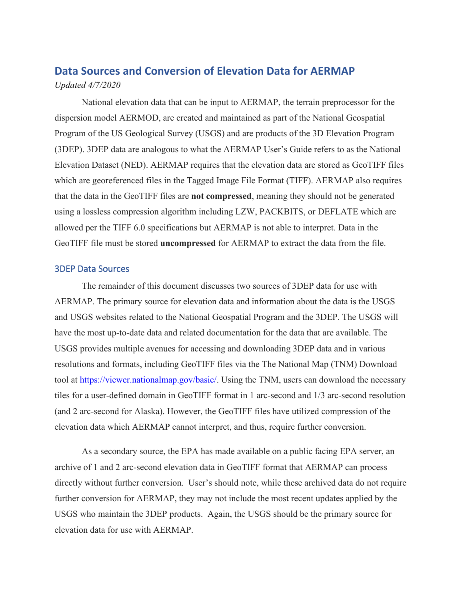# **Data Sources and Conversion of Elevation Data for AERMAP**  *Updated 4/7/2020*

National elevation data that can be input to AERMAP, the terrain preprocessor for the dispersion model AERMOD, are created and maintained as part of the National Geospatial Program of the US Geological Survey (USGS) and are products of the 3D Elevation Program (3DEP). 3DEP data are analogous to what the AERMAP User's Guide refers to as the National Elevation Dataset (NED). AERMAP requires that the elevation data are stored as GeoTIFF files which are georeferenced files in the Tagged Image File Format (TIFF). AERMAP also requires that the data in the GeoTIFF files are **not compressed**, meaning they should not be generated using a lossless compression algorithm including LZW, PACKBITS, or DEFLATE which are allowed per the TIFF 6.0 specifications but AERMAP is not able to interpret. Data in the GeoTIFF file must be stored **uncompressed** for AERMAP to extract the data from the file.

#### 3DEP Data Sources

The remainder of this document discusses two sources of 3DEP data for use with AERMAP. The primary source for elevation data and information about the data is the USGS and USGS websites related to the National Geospatial Program and the 3DEP. The USGS will have the most up-to-date data and related documentation for the data that are available. The USGS provides multiple avenues for accessing and downloading 3DEP data and in various resolutions and formats, including GeoTIFF files via the The National Map (TNM) Download tool at [https://viewer.nationalmap.gov/basic/.](https://viewer.nationalmap.gov/basic/) Using the TNM, users can download the necessary tiles for a user-defined domain in GeoTIFF format in 1 arc-second and 1/3 arc-second resolution (and 2 arc-second for Alaska). However, the GeoTIFF files have utilized compression of the elevation data which AERMAP cannot interpret, and thus, require further conversion.

As a secondary source, the EPA has made available on a public facing EPA server, an archive of 1 and 2 arc-second elevation data in GeoTIFF format that AERMAP can process directly without further conversion. User's should note, while these archived data do not require further conversion for AERMAP, they may not include the most recent updates applied by the USGS who maintain the 3DEP products. Again, the USGS should be the primary source for elevation data for use with AERMAP.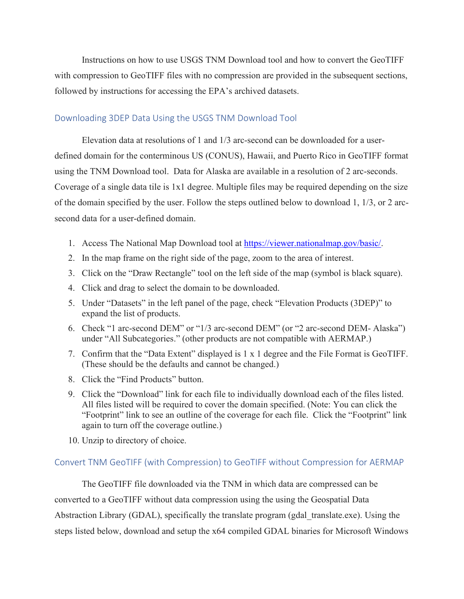Instructions on how to use USGS TNM Download tool and how to convert the GeoTIFF with compression to GeoTIFF files with no compression are provided in the subsequent sections, followed by instructions for accessing the EPA's archived datasets.

## Downloading 3DEP Data Using the USGS TNM Download Tool

Elevation data at resolutions of 1 and 1/3 arc-second can be downloaded for a userdefined domain for the conterminous US (CONUS), Hawaii, and Puerto Rico in GeoTIFF format using the TNM Download tool. Data for Alaska are available in a resolution of 2 arc-seconds. Coverage of a single data tile is 1x1 degree. Multiple files may be required depending on the size of the domain specified by the user. Follow the steps outlined below to download 1, 1/3, or 2 arcsecond data for a user-defined domain.

- 1. Access The National Map Download tool at [https://viewer.nationalmap.gov/basic/.](https://viewer.nationalmap.gov/basic/)
- 2. In the map frame on the right side of the page, zoom to the area of interest.
- 3. Click on the "Draw Rectangle" tool on the left side of the map (symbol is black square).
- 4. Click and drag to select the domain to be downloaded.
- 5. Under "Datasets" in the left panel of the page, check "Elevation Products (3DEP)" to expand the list of products.
- 6. Check "1 arc-second DEM" or "1/3 arc-second DEM" (or "2 arc-second DEM- Alaska") under "All Subcategories." (other products are not compatible with AERMAP.)
- 7. Confirm that the "Data Extent" displayed is 1 x 1 degree and the File Format is GeoTIFF. (These should be the defaults and cannot be changed.)
- 8. Click the "Find Products" button.
- 9. Click the "Download" link for each file to individually download each of the files listed. All files listed will be required to cover the domain specified. (Note: You can click the "Footprint" link to see an outline of the coverage for each file. Click the "Footprint" link again to turn off the coverage outline.)
- 10. Unzip to directory of choice.

### Convert TNM GeoTIFF (with Compression) to GeoTIFF without Compression for AERMAP

The GeoTIFF file downloaded via the TNM in which data are compressed can be converted to a GeoTIFF without data compression using the using the Geospatial Data Abstraction Library (GDAL), specifically the translate program (gdal translate.exe). Using the steps listed below, download and setup the x64 compiled GDAL binaries for Microsoft Windows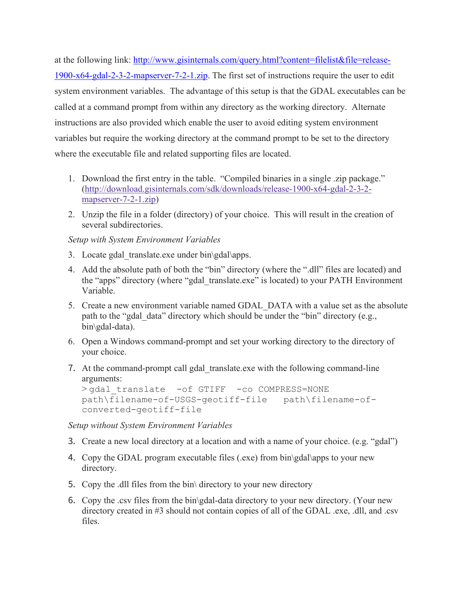at the following link: [http://www.gisinternals.com/query.html?content=filelist&file=release-](http://www.gisinternals.com/query.html?content=filelist&file=release-1900-x64-gdal-2-3-2-mapserver-7-2-1.zip)[1900-x64-gdal-2-3-2-mapserver-7-2-1.zip.](http://www.gisinternals.com/query.html?content=filelist&file=release-1900-x64-gdal-2-3-2-mapserver-7-2-1.zip) The first set of instructions require the user to edit system environment variables. The advantage of this setup is that the GDAL executables can be called at a command prompt from within any directory as the working directory. Alternate instructions are also provided which enable the user to avoid editing system environment variables but require the working directory at the command prompt to be set to the directory where the executable file and related supporting files are located.

- 1. Download the first entry in the table. "Compiled binaries in a single .zip package." [\(http://download.gisinternals.com/sdk/downloads/release-1900-x64-gdal-2-3-2](http://download.gisinternals.com/sdk/downloads/release-1900-x64-gdal-2-3-2-mapserver-7-2-1.zip) [mapserver-7-2-1.zip\)](http://download.gisinternals.com/sdk/downloads/release-1900-x64-gdal-2-3-2-mapserver-7-2-1.zip)
- 2. Unzip the file in a folder (directory) of your choice. This will result in the creation of several subdirectories.

## *Setup with System Environment Variables*

- 3. Locate gdal translate.exe under bin $\qquad$ gdal $\qquad$ apps.
- 4. Add the absolute path of both the "bin" directory (where the ".dll" files are located) and the "apps" directory (where "gdal\_translate.exe" is located) to your PATH Environment Variable.
- 5. Create a new environment variable named GDAL\_DATA with a value set as the absolute path to the "gdal\_data" directory which should be under the "bin" directory (e.g., bin\gdal-data).
- 6. Open a Windows command-prompt and set your working directory to the directory of your choice.
- 7. At the command-prompt call gdal translate.exe with the following command-line arguments:

```
> qdal translate -of GTIFF -co COMPRESS=NONE
path\filename-of-USGS-geotiff-file path\filename-of-
converted-geotiff-file
```
*Setup without System Environment Variables*

- 3. Create a new local directory at a location and with a name of your choice. (e.g. "gdal")
- 4. Copy the GDAL program executable files (.exe) from bin\gdal\apps to your new directory.
- 5. Copy the .dll files from the bin\ directory to your new directory
- 6. Copy the .csv files from the bin\gdal-data directory to your new directory. (Your new directory created in #3 should not contain copies of all of the GDAL .exe, .dll, and .csv files.